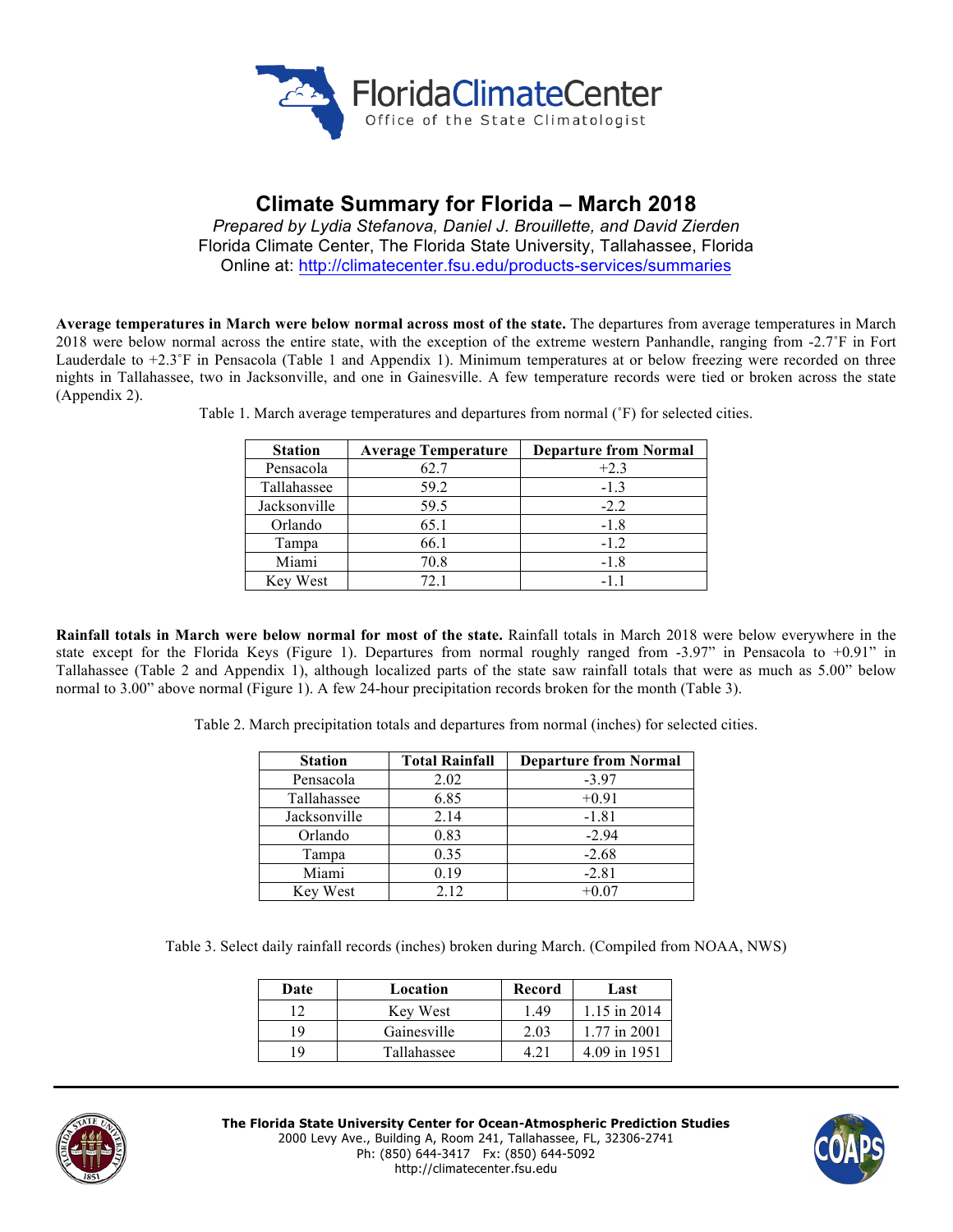

# **Climate Summary for Florida – March 2018**

*Prepared by Lydia Stefanova, Daniel J. Brouillette, and David Zierden* Florida Climate Center, The Florida State University, Tallahassee, Florida Online at: http://climatecenter.fsu.edu/products-services/summaries

**Average temperatures in March were below normal across most of the state.** The departures from average temperatures in March 2018 were below normal across the entire state, with the exception of the extreme western Panhandle, ranging from -2.7˚F in Fort Lauderdale to +2.3˚F in Pensacola (Table 1 and Appendix 1). Minimum temperatures at or below freezing were recorded on three nights in Tallahassee, two in Jacksonville, and one in Gainesville. A few temperature records were tied or broken across the state (Appendix 2).

| <b>Station</b> | <b>Average Temperature</b> | <b>Departure from Normal</b> |
|----------------|----------------------------|------------------------------|
| Pensacola      | 62.7                       | $+2.3$                       |
| Tallahassee    | 59.2                       | $-1.3$                       |
| Jacksonville   | 59.5                       | $-2.2$                       |
| Orlando        | 65.1                       | $-1.8$                       |
| Tampa          | 66.1                       | $-1.2$                       |
| Miami          | 70.8                       | $-1.8$                       |
| Key West       | 72.1                       | -11                          |

Table 1. March average temperatures and departures from normal (˚F) for selected cities.

**Rainfall totals in March were below normal for most of the state.** Rainfall totals in March 2018 were below everywhere in the state except for the Florida Keys (Figure 1). Departures from normal roughly ranged from -3.97" in Pensacola to +0.91" in Tallahassee (Table 2 and Appendix 1), although localized parts of the state saw rainfall totals that were as much as 5.00" below normal to 3.00" above normal (Figure 1). A few 24-hour precipitation records broken for the month (Table 3).

Table 2. March precipitation totals and departures from normal (inches) for selected cities.

| <b>Station</b> | <b>Total Rainfall</b> | <b>Departure from Normal</b> |  |
|----------------|-----------------------|------------------------------|--|
| Pensacola      | 2.02                  | $-3.97$                      |  |
| Tallahassee    | 6.85                  | $+0.91$                      |  |
| Jacksonville   | 2.14                  | $-1.81$                      |  |
| Orlando        | 0.83                  | $-2.94$                      |  |
| Tampa          | 0.35                  | $-2.68$                      |  |
| Miami          | 0.19                  | $-2.81$                      |  |
| Key West       | 2.12                  | $+0.07$                      |  |

Table 3. Select daily rainfall records (inches) broken during March. (Compiled from NOAA, NWS)

| Date | Location    | Record | Last         |
|------|-------------|--------|--------------|
|      | Key West    | 1.49   | 1.15 in 2014 |
| 19   | Gainesville | 2.03   | 1.77 in 2001 |
|      | Tallahassee |        | 4.09 in 1951 |



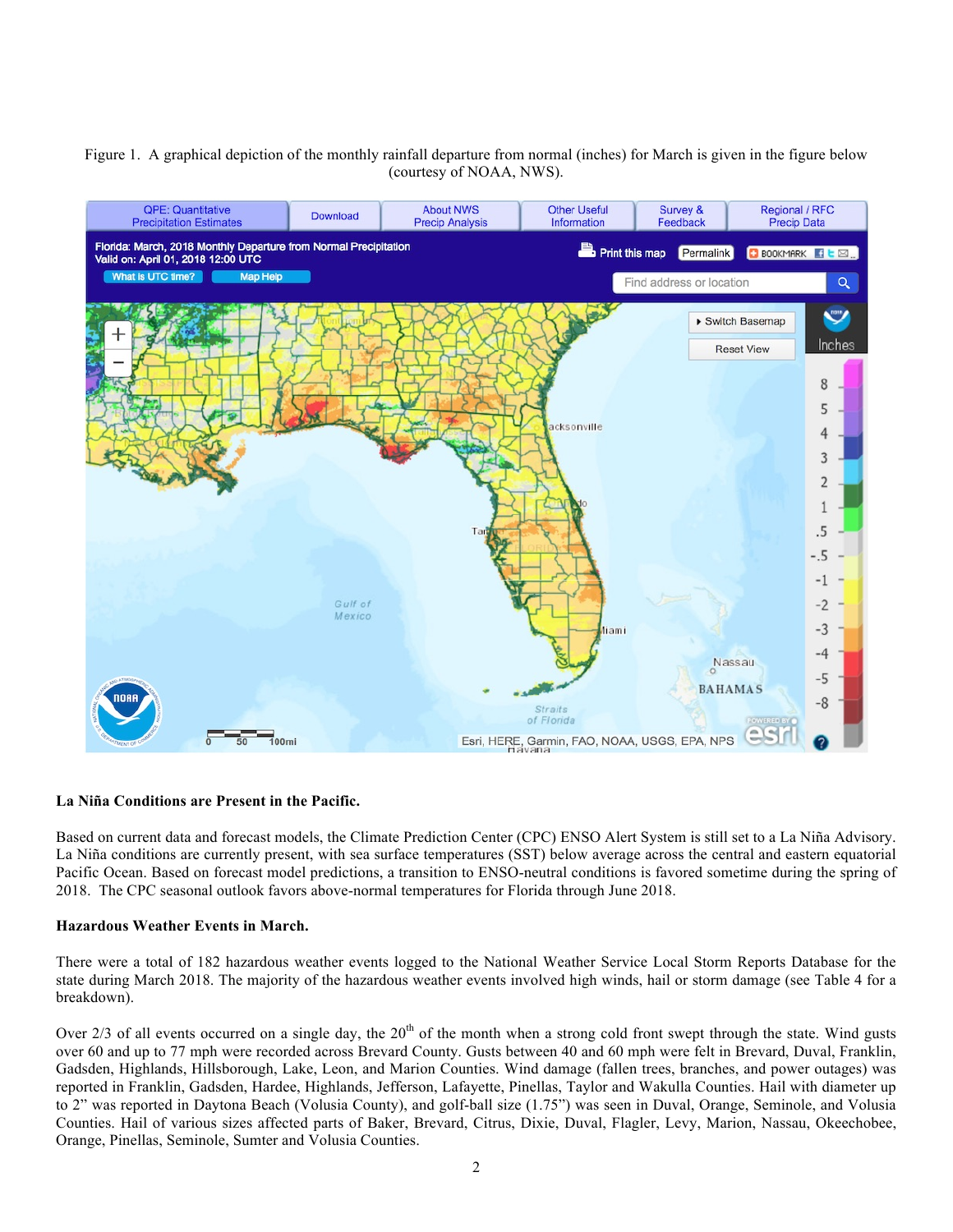# Figure 1. A graphical depiction of the monthly rainfall departure from normal (inches) for March is given in the figure below (courtesy of NOAA, NWS).



#### **La Niña Conditions are Present in the Pacific.**

Based on current data and forecast models, the Climate Prediction Center (CPC) ENSO Alert System is still set to a La Niña Advisory. La Niña conditions are currently present, with sea surface temperatures (SST) below average across the central and eastern equatorial Pacific Ocean. Based on forecast model predictions, a transition to ENSO-neutral conditions is favored sometime during the spring of 2018. The CPC seasonal outlook favors above-normal temperatures for Florida through June 2018.

### **Hazardous Weather Events in March.**

There were a total of 182 hazardous weather events logged to the National Weather Service Local Storm Reports Database for the state during March 2018. The majority of the hazardous weather events involved high winds, hail or storm damage (see Table 4 for a breakdown).

Over  $2/3$  of all events occurred on a single day, the  $20<sup>th</sup>$  of the month when a strong cold front swept through the state. Wind gusts over 60 and up to 77 mph were recorded across Brevard County. Gusts between 40 and 60 mph were felt in Brevard, Duval, Franklin, Gadsden, Highlands, Hillsborough, Lake, Leon, and Marion Counties. Wind damage (fallen trees, branches, and power outages) was reported in Franklin, Gadsden, Hardee, Highlands, Jefferson, Lafayette, Pinellas, Taylor and Wakulla Counties. Hail with diameter up to 2" was reported in Daytona Beach (Volusia County), and golf-ball size (1.75") was seen in Duval, Orange, Seminole, and Volusia Counties. Hail of various sizes affected parts of Baker, Brevard, Citrus, Dixie, Duval, Flagler, Levy, Marion, Nassau, Okeechobee, Orange, Pinellas, Seminole, Sumter and Volusia Counties.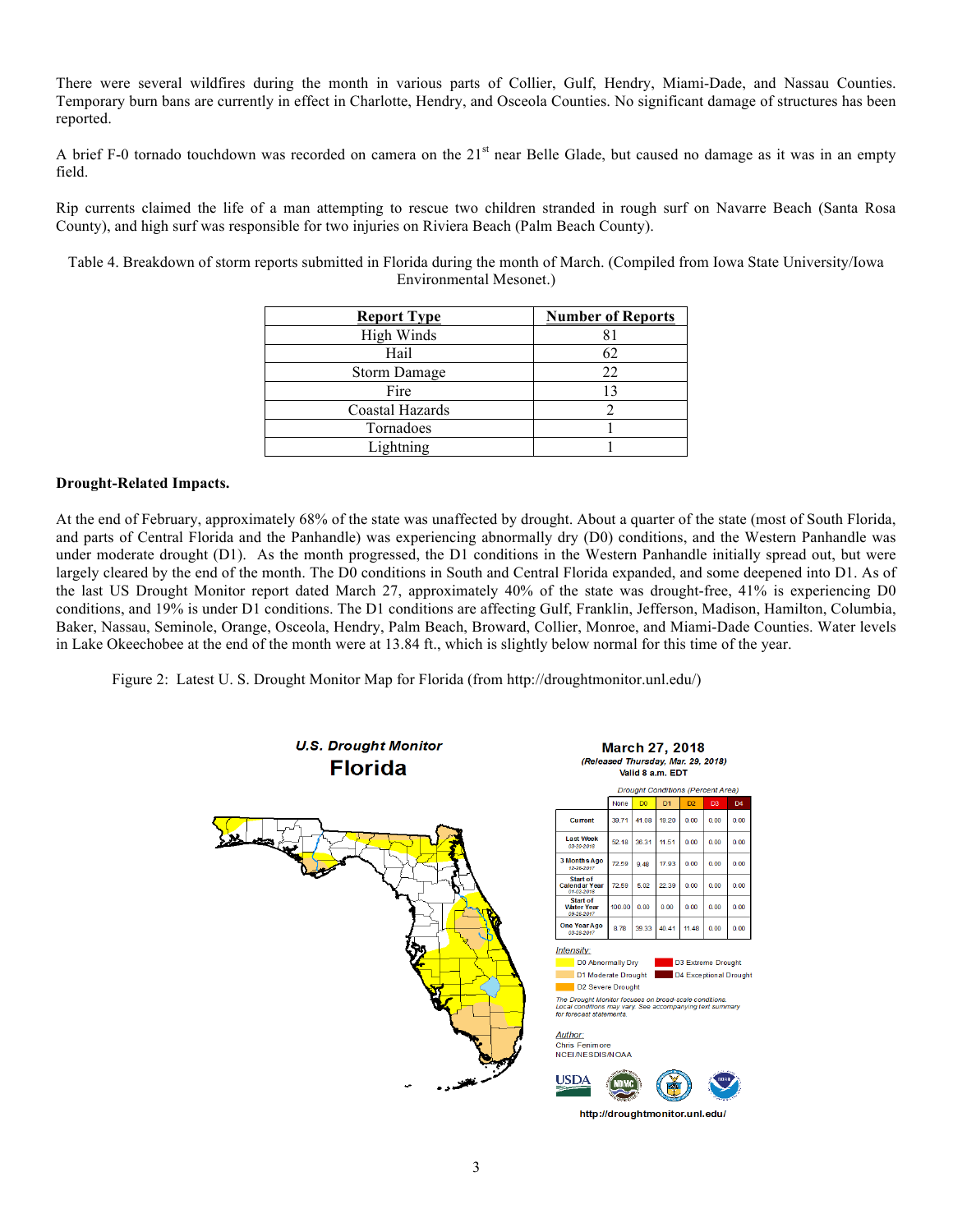There were several wildfires during the month in various parts of Collier, Gulf, Hendry, Miami-Dade, and Nassau Counties. Temporary burn bans are currently in effect in Charlotte, Hendry, and Osceola Counties. No significant damage of structures has been reported.

A brief F-0 tornado touchdown was recorded on camera on the  $21<sup>st</sup>$  near Belle Glade, but caused no damage as it was in an empty field.

Rip currents claimed the life of a man attempting to rescue two children stranded in rough surf on Navarre Beach (Santa Rosa County), and high surf was responsible for two injuries on Riviera Beach (Palm Beach County).

Table 4. Breakdown of storm reports submitted in Florida during the month of March. (Compiled from Iowa State University/Iowa Environmental Mesonet.)

| <b>Report Type</b>  | <b>Number of Reports</b> |
|---------------------|--------------------------|
| High Winds          |                          |
| Hail                |                          |
| <b>Storm Damage</b> | 22                       |
| Fire                | 13                       |
| Coastal Hazards     |                          |
| Tornadoes           |                          |
| Lightning           |                          |

## **Drought-Related Impacts.**

At the end of February, approximately 68% of the state was unaffected by drought. About a quarter of the state (most of South Florida, and parts of Central Florida and the Panhandle) was experiencing abnormally dry (D0) conditions, and the Western Panhandle was under moderate drought (D1). As the month progressed, the D1 conditions in the Western Panhandle initially spread out, but were largely cleared by the end of the month. The D0 conditions in South and Central Florida expanded, and some deepened into D1. As of the last US Drought Monitor report dated March 27, approximately 40% of the state was drought-free, 41% is experiencing D0 conditions, and 19% is under D1 conditions. The D1 conditions are affecting Gulf, Franklin, Jefferson, Madison, Hamilton, Columbia, Baker, Nassau, Seminole, Orange, Osceola, Hendry, Palm Beach, Broward, Collier, Monroe, and Miami-Dade Counties. Water levels in Lake Okeechobee at the end of the month were at 13.84 ft., which is slightly below normal for this time of the year.

Figure 2: Latest U. S. Drought Monitor Map for Florida (from http://droughtmonitor.unl.edu/)